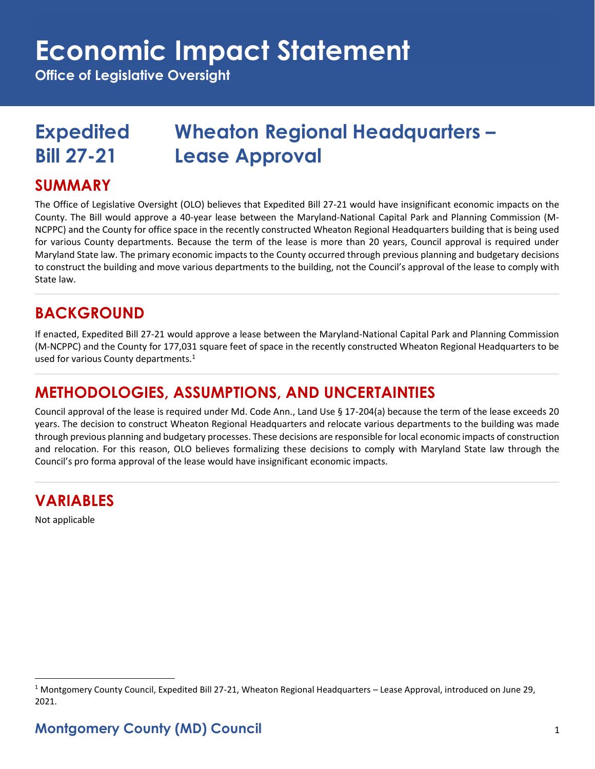# **Economic Impact Statement**

**Office of Legislative Oversight**

# **Expedited Wheaton Regional Headquarters – Bill 27-21 Lease Approval**

#### **SUMMARY**

The Office of Legislative Oversight (OLO) believes that Expedited Bill 27-21 would have insignificant economic impacts on the County. The Bill would approve a 40-year lease between the Maryland-National Capital Park and Planning Commission (M-NCPPC) and the County for office space in the recently constructed Wheaton Regional Headquarters building that is being used for various County departments. Because the term of the lease is more than 20 years, Council approval is required under Maryland State law. The primary economic impacts to the County occurred through previous planning and budgetary decisions to construct the building and move various departments to the building, not the Council's approval of the lease to comply with State law.

#### **BACKGROUND**

If enacted, Expedited Bill 27-21 would approve a lease between the Maryland-National Capital Park and Planning Commission (M-NCPPC) and the County for 177,031 square feet of space in the recently constructed Wheaton Regional Headquarters to be used for various County departments.<sup>1</sup>

### **METHODOLOGIES, ASSUMPTIONS, AND UNCERTAINTIES**

Council approval of the lease is required under Md. Code Ann., Land Use § 17-204(a) because the term of the lease exceeds 20 years. The decision to construct Wheaton Regional Headquarters and relocate various departments to the building was made through previous planning and budgetary processes. These decisions are responsible for local economic impacts of construction and relocation. For this reason, OLO believes formalizing these decisions to comply with Maryland State law through the Council's pro forma approval of the lease would have insignificant economic impacts.

### **VARIABLES**

Not applicable

<sup>1</sup> Montgomery County Council, Expedited Bill 27-21, Wheaton Regional Headquarters – Lease Approval, introduced on June 29, 2021.